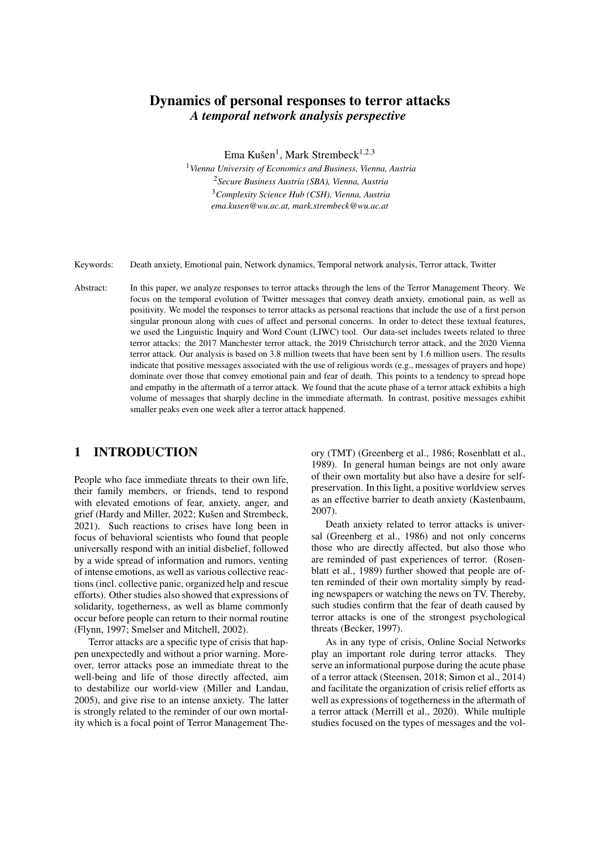# Dynamics of personal responses to terror attacks *A temporal network analysis perspective*

Ema Kušen<sup>1</sup>, Mark Strembeck<sup>1,2,3</sup>

*Vienna University of Economics and Business, Vienna, Austria Secure Business Austria (SBA), Vienna, Austria Complexity Science Hub (CSH), Vienna, Austria ema.kusen@wu.ac.at, mark.strembeck@wu.ac.at*

Keywords: Death anxiety, Emotional pain, Network dynamics, Temporal network analysis, Terror attack, Twitter

Abstract: In this paper, we analyze responses to terror attacks through the lens of the Terror Management Theory. We focus on the temporal evolution of Twitter messages that convey death anxiety, emotional pain, as well as positivity. We model the responses to terror attacks as personal reactions that include the use of a first person singular pronoun along with cues of affect and personal concerns. In order to detect these textual features, we used the Linguistic Inquiry and Word Count (LIWC) tool. Our data-set includes tweets related to three terror attacks: the 2017 Manchester terror attack, the 2019 Christchurch terror attack, and the 2020 Vienna terror attack. Our analysis is based on 3.8 million tweets that have been sent by 1.6 million users. The results indicate that positive messages associated with the use of religious words (e.g., messages of prayers and hope) dominate over those that convey emotional pain and fear of death. This points to a tendency to spread hope and empathy in the aftermath of a terror attack. We found that the acute phase of a terror attack exhibits a high volume of messages that sharply decline in the immediate aftermath. In contrast, positive messages exhibit smaller peaks even one week after a terror attack happened.

## 1 INTRODUCTION

People who face immediate threats to their own life, their family members, or friends, tend to respond with elevated emotions of fear, anxiety, anger, and grief (Hardy and Miller, 2022; Kušen and Strembeck, 2021). Such reactions to crises have long been in focus of behavioral scientists who found that people universally respond with an initial disbelief, followed by a wide spread of information and rumors, venting of intense emotions, as well as various collective reactions (incl. collective panic, organized help and rescue efforts). Other studies also showed that expressions of solidarity, togetherness, as well as blame commonly occur before people can return to their normal routine (Flynn, 1997; Smelser and Mitchell, 2002).

Terror attacks are a specific type of crisis that happen unexpectedly and without a prior warning. Moreover, terror attacks pose an immediate threat to the well-being and life of those directly affected, aim to destabilize our world-view (Miller and Landau, 2005), and give rise to an intense anxiety. The latter is strongly related to the reminder of our own mortality which is a focal point of Terror Management Theory (TMT) (Greenberg et al., 1986; Rosenblatt et al., 1989). In general human beings are not only aware of their own mortality but also have a desire for selfpreservation. In this light, a positive worldview serves as an effective barrier to death anxiety (Kastenbaum, 2007).

Death anxiety related to terror attacks is universal (Greenberg et al., 1986) and not only concerns those who are directly affected, but also those who are reminded of past experiences of terror. (Rosenblatt et al., 1989) further showed that people are often reminded of their own mortality simply by reading newspapers or watching the news on TV. Thereby, such studies confirm that the fear of death caused by terror attacks is one of the strongest psychological threats (Becker, 1997).

As in any type of crisis, Online Social Networks play an important role during terror attacks. They serve an informational purpose during the acute phase of a terror attack (Steensen, 2018; Simon et al., 2014) and facilitate the organization of crisis relief efforts as well as expressions of togetherness in the aftermath of a terror attack (Merrill et al., 2020). While multiple studies focused on the types of messages and the vol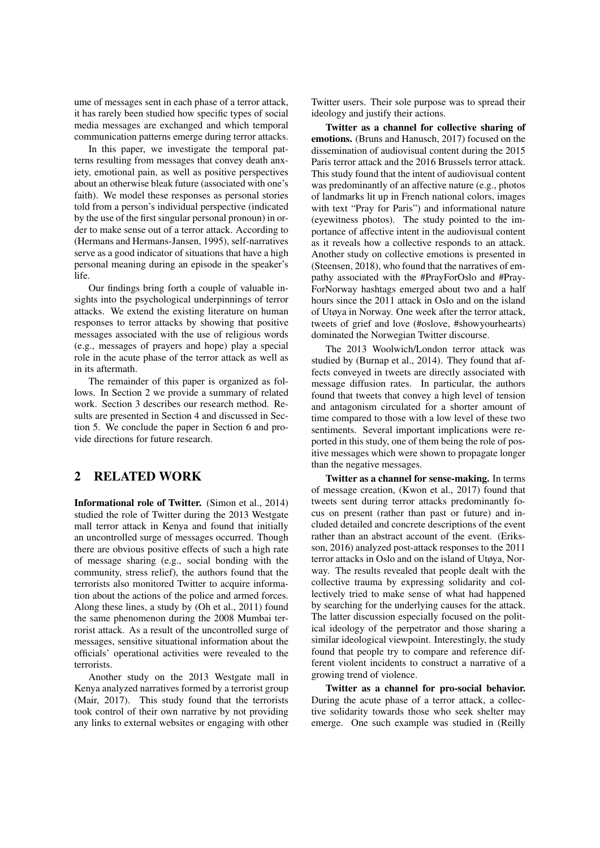ume of messages sent in each phase of a terror attack, it has rarely been studied how specific types of social media messages are exchanged and which temporal communication patterns emerge during terror attacks.

In this paper, we investigate the temporal patterns resulting from messages that convey death anxiety, emotional pain, as well as positive perspectives about an otherwise bleak future (associated with one's faith). We model these responses as personal stories told from a person's individual perspective (indicated by the use of the first singular personal pronoun) in order to make sense out of a terror attack. According to (Hermans and Hermans-Jansen, 1995), self-narratives serve as a good indicator of situations that have a high personal meaning during an episode in the speaker's life.

Our findings bring forth a couple of valuable insights into the psychological underpinnings of terror attacks. We extend the existing literature on human responses to terror attacks by showing that positive messages associated with the use of religious words (e.g., messages of prayers and hope) play a special role in the acute phase of the terror attack as well as in its aftermath.

The remainder of this paper is organized as follows. In Section 2 we provide a summary of related work. Section 3 describes our research method. Results are presented in Section 4 and discussed in Section 5. We conclude the paper in Section 6 and provide directions for future research.

### 2 RELATED WORK

Informational role of Twitter. (Simon et al., 2014) studied the role of Twitter during the 2013 Westgate mall terror attack in Kenya and found that initially an uncontrolled surge of messages occurred. Though there are obvious positive effects of such a high rate of message sharing (e.g., social bonding with the community, stress relief), the authors found that the terrorists also monitored Twitter to acquire information about the actions of the police and armed forces. Along these lines, a study by (Oh et al., 2011) found the same phenomenon during the 2008 Mumbai terrorist attack. As a result of the uncontrolled surge of messages, sensitive situational information about the officials' operational activities were revealed to the terrorists.

Another study on the 2013 Westgate mall in Kenya analyzed narratives formed by a terrorist group (Mair, 2017). This study found that the terrorists took control of their own narrative by not providing any links to external websites or engaging with other Twitter users. Their sole purpose was to spread their ideology and justify their actions.

Twitter as a channel for collective sharing of emotions. (Bruns and Hanusch, 2017) focused on the dissemination of audiovisual content during the 2015 Paris terror attack and the 2016 Brussels terror attack. This study found that the intent of audiovisual content was predominantly of an affective nature (e.g., photos of landmarks lit up in French national colors, images with text "Pray for Paris") and informational nature (eyewitness photos). The study pointed to the importance of affective intent in the audiovisual content as it reveals how a collective responds to an attack. Another study on collective emotions is presented in (Steensen, 2018), who found that the narratives of empathy associated with the #PrayForOslo and #Pray-ForNorway hashtags emerged about two and a half hours since the 2011 attack in Oslo and on the island of Utøya in Norway. One week after the terror attack, tweets of grief and love (#oslove, #showyourhearts) dominated the Norwegian Twitter discourse.

The 2013 Woolwich/London terror attack was studied by (Burnap et al., 2014). They found that affects conveyed in tweets are directly associated with message diffusion rates. In particular, the authors found that tweets that convey a high level of tension and antagonism circulated for a shorter amount of time compared to those with a low level of these two sentiments. Several important implications were reported in this study, one of them being the role of positive messages which were shown to propagate longer than the negative messages.

Twitter as a channel for sense-making. In terms of message creation, (Kwon et al., 2017) found that tweets sent during terror attacks predominantly focus on present (rather than past or future) and included detailed and concrete descriptions of the event rather than an abstract account of the event. (Eriksson, 2016) analyzed post-attack responses to the 2011 terror attacks in Oslo and on the island of Utøya, Norway. The results revealed that people dealt with the collective trauma by expressing solidarity and collectively tried to make sense of what had happened by searching for the underlying causes for the attack. The latter discussion especially focused on the political ideology of the perpetrator and those sharing a similar ideological viewpoint. Interestingly, the study found that people try to compare and reference different violent incidents to construct a narrative of a growing trend of violence.

Twitter as a channel for pro-social behavior. During the acute phase of a terror attack, a collective solidarity towards those who seek shelter may emerge. One such example was studied in (Reilly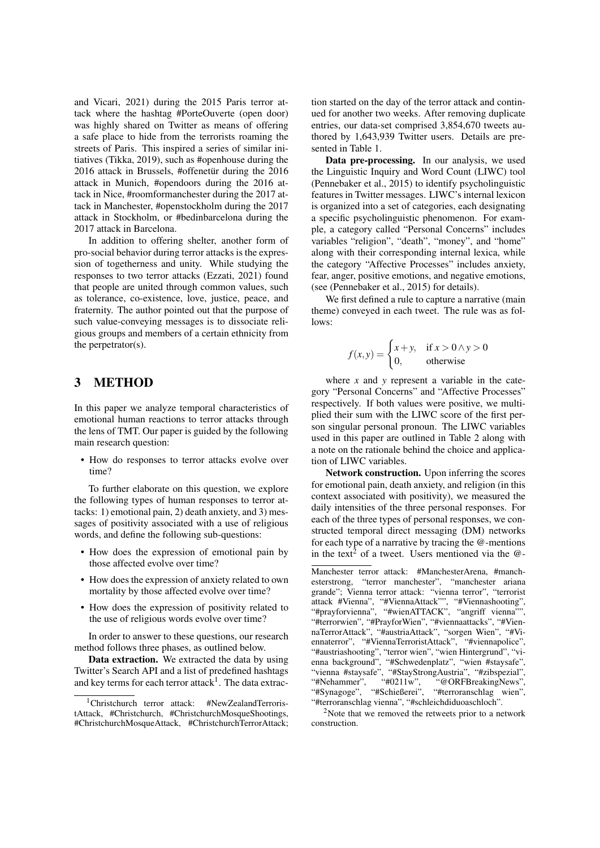and Vicari, 2021) during the 2015 Paris terror attack where the hashtag #PorteOuverte (open door) was highly shared on Twitter as means of offering a safe place to hide from the terrorists roaming the streets of Paris. This inspired a series of similar initiatives (Tikka, 2019), such as #openhouse during the  $2016$  attack in Brussels, #offenetur during the  $2016$ attack in Munich, #opendoors during the 2016 attack in Nice, #roomformanchester during the 2017 attack in Manchester, #openstockholm during the 2017 attack in Stockholm, or #bedinbarcelona during the 2017 attack in Barcelona.

In addition to offering shelter, another form of pro-social behavior during terror attacks is the expression of togetherness and unity. While studying the responses to two terror attacks (Ezzati, 2021) found that people are united through common values, such as tolerance, co-existence, love, justice, peace, and fraternity. The author pointed out that the purpose of such value-conveying messages is to dissociate religious groups and members of a certain ethnicity from the perpetrator(s).

#### 3 METHOD

In this paper we analyze temporal characteristics of emotional human reactions to terror attacks through the lens of TMT. Our paper is guided by the following main research question:

• How do responses to terror attacks evolve over time?

To further elaborate on this question, we explore the following types of human responses to terror attacks: 1) emotional pain, 2) death anxiety, and 3) messages of positivity associated with a use of religious words, and define the following sub-questions:

- How does the expression of emotional pain by those affected evolve over time?
- How does the expression of anxiety related to own mortality by those affected evolve over time?
- How does the expression of positivity related to the use of religious words evolve over time?

In order to answer to these questions, our research method follows three phases, as outlined below.

Data extraction. We extracted the data by using Twitter's Search API and a list of predefined hashtags and key terms for each terror attack $^1$ . The data extrac-

tion started on the day of the terror attack and continued for another two weeks. After removing duplicate entries, our data-set comprised 3,854,670 tweets authored by 1,643,939 Twitter users. Details are presented in Table 1.

Data pre-processing. In our analysis, we used the Linguistic Inquiry and Word Count (LIWC) tool (Pennebaker et al., 2015) to identify psycholinguistic features in Twitter messages. LIWC's internal lexicon is organized into a set of categories, each designating a specific psycholinguistic phenomenon. For example, a category called "Personal Concerns" includes variables "religion", "death", "money", and "home" along with their corresponding internal lexica, while the category "Affective Processes" includes anxiety, fear, anger, positive emotions, and negative emotions, (see (Pennebaker et al., 2015) for details).

We first defined a rule to capture a narrative (main theme) conveyed in each tweet. The rule was as follows:

$$
f(x, y) = \begin{cases} x + y, & \text{if } x > 0 \land y > 0 \\ 0, & \text{otherwise} \end{cases}
$$

where  $x$  and  $y$  represent a variable in the category "Personal Concerns" and "Affective Processes" respectively. If both values were positive, we multiplied their sum with the LIWC score of the first person singular personal pronoun. The LIWC variables used in this paper are outlined in Table 2 along with a note on the rationale behind the choice and application of LIWC variables.

Network construction. Upon inferring the scores for emotional pain, death anxiety, and religion (in this context associated with positivity), we measured the daily intensities of the three personal responses. For each of the three types of personal responses, we constructed temporal direct messaging (DM) networks for each type of a narrative by tracing the @-mentions in the text<sup>2</sup> of a tweet. Users mentioned via the  $@$ -

<sup>2</sup>Note that we removed the retweets prior to a network construction.

<sup>&</sup>lt;sup>1</sup>Christchurch terror attack: #NewZealandTerroristAttack, #Christchurch, #ChristchurchMosqueShootings, #ChristchurchMosqueAttack, #ChristchurchTerrorAttack;

Manchester terror attack: #ManchesterArena, #manchesterstrong, "terror manchester", "manchester ariana grande"; Vienna terror attack: "vienna terror", "terrorist attack #Vienna", "#ViennaAttack"", "#Viennashooting", "#prayforvienna", "#wienATTACK", "angriff vienna"", "#terrorwien", "#PrayforWien", "#viennaattacks", "#ViennaTerrorAttack", "#austriaAttack", "sorgen Wien", "#Viennaterror", "#ViennaTerroristAttack", "#viennapolice", "#austriashooting", "terror wien", "wien Hintergrund", "vienna background", "#Schwedenplatz", "wien #staysafe", "vienna #staysafe", "#StayStrongAustria", "#zibspezial", "#Nehammer", "#0211w", "@ORFBreakingNews", "#Synagoge", "#Schießerei", "#terroranschlag wien", "#terroranschlag vienna", "#schleichdiduoaschloch".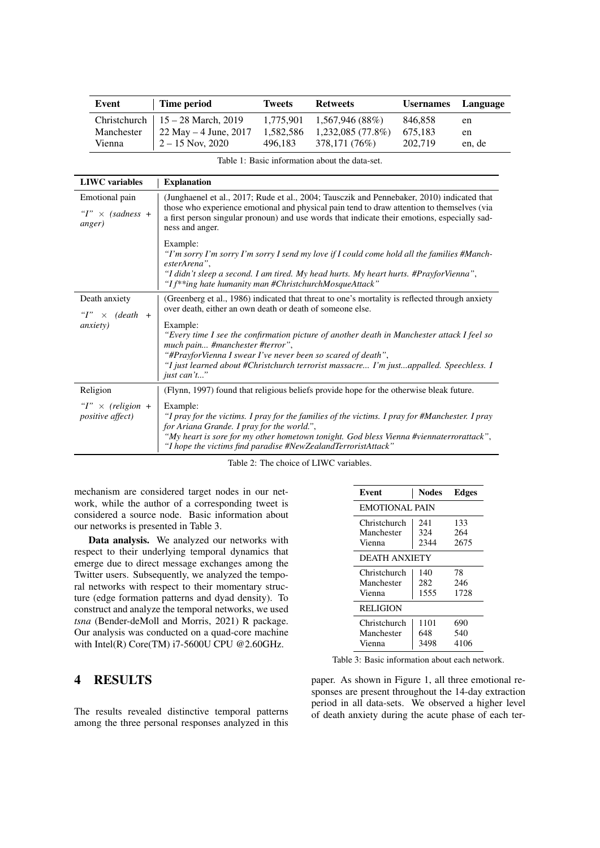| Event      | Time period                          | <b>Tweets</b> | <b>Retweets</b>               | <b>Usernames</b> | Language |
|------------|--------------------------------------|---------------|-------------------------------|------------------|----------|
|            | Christchurch   $15 - 28$ March, 2019 |               | $1,775,901$ $1,567,946$ (88%) | 846.858          | en       |
| Manchester | 22 May $-4$ June, 2017               | 1,582,586     | $1,232,085(77.8\%)$           | 675.183          | en       |
| Vienna     | $2 - 15$ Nov, 2020                   | 496.183       | 378,171 (76%)                 | 202.719          | en, de   |

| Table 1: Basic information about the data-set. |  |
|------------------------------------------------|--|
|------------------------------------------------|--|

| <b>LIWC</b> variables                                    | <b>Explanation</b>                                                                                                                                                                                                                                                                                                    |
|----------------------------------------------------------|-----------------------------------------------------------------------------------------------------------------------------------------------------------------------------------------------------------------------------------------------------------------------------------------------------------------------|
| Emotional pain<br>" $I$ " $\times$ (sadness +<br>anger)  | (Junghaenel et al., 2017; Rude et al., 2004; Tausczik and Pennebaker, 2010) indicated that<br>those who experience emotional and physical pain tend to draw attention to themselves (via<br>a first person singular pronoun) and use words that indicate their emotions, especially sad-<br>ness and anger.           |
|                                                          | Example:<br>"I'm sorry I'm sorry I'm sorry I send my love if I could come hold all the families #Manch-<br>esterArena",<br>"I didn't sleep a second. I am tired. My head hurts. My heart hurts. #PrayforVienna",<br>"I f <sup>**</sup> ing hate humanity man #ChristchurchMosqueAttack"                               |
| Death anxiety<br>" $I$ " $\times$ (death +               | (Greenberg et al., 1986) indicated that threat to one's mortality is reflected through anxiety<br>over death, either an own death or death of someone else.                                                                                                                                                           |
| <i>anxiety</i> )                                         | Example:<br>"Every time I see the confirmation picture of another death in Manchester attack I feel so<br>much pain #manchester #terror",<br>"#PrayforVienna I swear I've never been so scared of death",<br>"I just learned about #Christchurch terrorist massacre I'm justappalled. Speechless. I<br>just can't"    |
| Religion                                                 | (Flynn, 1997) found that religious beliefs provide hope for the otherwise bleak future.                                                                                                                                                                                                                               |
| " $I$ " $\times$ (religion +<br><i>positive affect</i> ) | Example:<br>"I pray for the victims. I pray for the families of the victims. I pray for #Manchester. I pray<br>for Ariana Grande. I pray for the world.",<br>"My heart is sore for my other hometown tonight. God bless Vienna #viennaterrorattack",<br>"I hope the victims find paradise #NewZealandTerroristAttack" |

Table 2: The choice of LIWC variables.

mechanism are considered target nodes in our network, while the author of a corresponding tweet is considered a source node. Basic information about our networks is presented in Table 3.

Data analysis. We analyzed our networks with respect to their underlying temporal dynamics that emerge due to direct message exchanges among the Twitter users. Subsequently, we analyzed the temporal networks with respect to their momentary structure (edge formation patterns and dyad density). To construct and analyze the temporal networks, we used *tsna* (Bender-deMoll and Morris, 2021) R package. Our analysis was conducted on a quad-core machine with Intel(R) Core(TM) i7-5600U CPU @2.60GHz.

### 4 RESULTS

The results revealed distinctive temporal patterns among the three personal responses analyzed in this

| Event                 | <b>Nodes</b> | Edges |  |  |
|-----------------------|--------------|-------|--|--|
| <b>EMOTIONAL PAIN</b> |              |       |  |  |
| Christchurch          | 241          | 133   |  |  |
| Manchester            | 324          | 264   |  |  |
| Vienna                | 2344         | 2675  |  |  |
| DEATH ANXIETY         |              |       |  |  |
| Christchurch          | 140          | 78    |  |  |
| Manchester            | 282          | 246   |  |  |
| Vienna                | 1555         | 1728  |  |  |
| <b>RELIGION</b>       |              |       |  |  |
| Christchurch          | 1101         | 690   |  |  |
| Manchester            | 648          | 540   |  |  |
| Vienna                | 3498         | 4106  |  |  |
|                       |              |       |  |  |

Table 3: Basic information about each network.

paper. As shown in Figure 1, all three emotional responses are present throughout the 14-day extraction period in all data-sets. We observed a higher level of death anxiety during the acute phase of each ter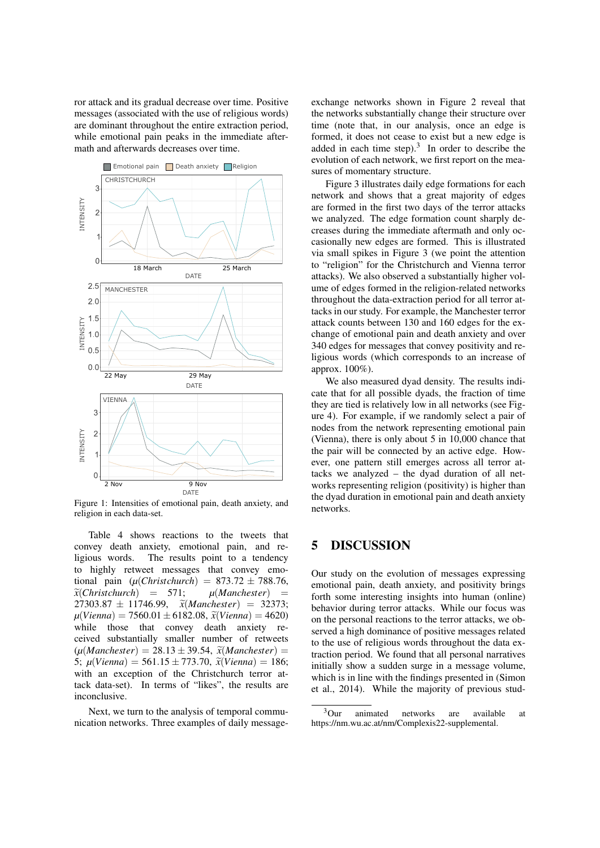ror attack and its gradual decrease over time. Positive messages (associated with the use of religious words) are dominant throughout the entire extraction period, while emotional pain peaks in the immediate aftermath and afterwards decreases over time.



Figure 1: Intensities of emotional pain, death anxiety, and religion in each data-set.

Table 4 shows reactions to the tweets that convey death anxiety, emotional pain, and religious words. The results point to a tendency to highly retweet messages that convey emotional pain  $(\mu(Christchurch) = 873.72 \pm 788.76,$ *<sup>x</sup>*e(*Christchurch*) = 571; *<sup>µ</sup>*(*Manchester*) =  $27303.87 \pm 11746.99$ ,  $\widetilde{\chi}(Manchester) = 32373$ ;<br> $\chi(Vianna) = 7560.01 + 6182.08$ ,  $\widetilde{\chi}(Vianna) = 4620$  $\mu$ (*Vienna*) = 7560.01 ± 6182.08,  $\tilde{\chi}$ (*Vienna*) = 4620) while those that convey death anxiety received substantially smaller number of retweets  $(\mu(Manchester) = 28.13 \pm 39.54, \tilde{x}(Manchester) =$ 5;  $\mu(Vienna) = 561.15 \pm 773.70$ ,  $\tilde{x}(Vienna) = 186$ ; with an exception of the Christchurch terror attack data-set). In terms of "likes", the results are inconclusive.

Next, we turn to the analysis of temporal communication networks. Three examples of daily messageexchange networks shown in Figure 2 reveal that the networks substantially change their structure over time (note that, in our analysis, once an edge is formed, it does not cease to exist but a new edge is added in each time step). $3 \text{ In order to describe the}$ evolution of each network, we first report on the measures of momentary structure.

Figure 3 illustrates daily edge formations for each network and shows that a great majority of edges are formed in the first two days of the terror attacks we analyzed. The edge formation count sharply decreases during the immediate aftermath and only occasionally new edges are formed. This is illustrated via small spikes in Figure 3 (we point the attention to "religion" for the Christchurch and Vienna terror attacks). We also observed a substantially higher volume of edges formed in the religion-related networks throughout the data-extraction period for all terror attacks in our study. For example, the Manchester terror attack counts between 130 and 160 edges for the exchange of emotional pain and death anxiety and over 340 edges for messages that convey positivity and religious words (which corresponds to an increase of approx. 100%).

We also measured dyad density. The results indicate that for all possible dyads, the fraction of time they are tied is relatively low in all networks (see Figure 4). For example, if we randomly select a pair of nodes from the network representing emotional pain (Vienna), there is only about 5 in 10,000 chance that the pair will be connected by an active edge. However, one pattern still emerges across all terror attacks we analyzed – the dyad duration of all networks representing religion (positivity) is higher than the dyad duration in emotional pain and death anxiety networks.

#### 5 DISCUSSION

Our study on the evolution of messages expressing emotional pain, death anxiety, and positivity brings forth some interesting insights into human (online) behavior during terror attacks. While our focus was on the personal reactions to the terror attacks, we observed a high dominance of positive messages related to the use of religious words throughout the data extraction period. We found that all personal narratives initially show a sudden surge in a message volume, which is in line with the findings presented in (Simon et al., 2014). While the majority of previous stud-

<sup>3</sup>Our animated networks are available at https://nm.wu.ac.at/nm/Complexis22-supplemental.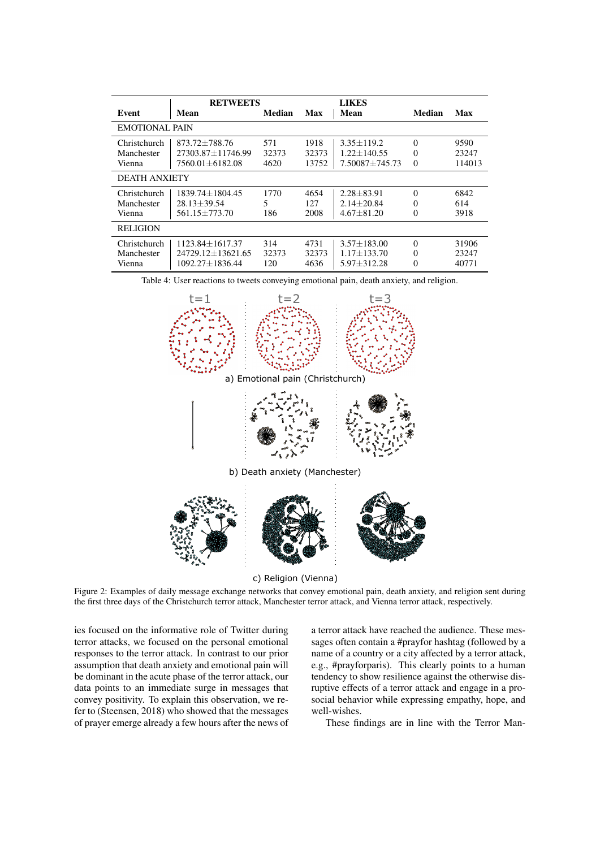|                                      | <b>RETWEETS</b>                                                           |                      |                        | <b>LIKES</b>                                                |                                  |                         |
|--------------------------------------|---------------------------------------------------------------------------|----------------------|------------------------|-------------------------------------------------------------|----------------------------------|-------------------------|
| Event                                | Mean                                                                      | Median               | Max                    | Mean                                                        | Median                           | Max                     |
| <b>EMOTIONAL PAIN</b>                |                                                                           |                      |                        |                                                             |                                  |                         |
| Christchurch<br>Manchester<br>Vienna | 873.72±788.76<br>$27303.87 + 11746.99$<br>$7560.01 \pm 6182.08$           | 571<br>32373<br>4620 | 1918<br>32373<br>13752 | $3.35 \pm 119.2$<br>$1.22 + 140.55$<br>$7.50087 \pm 745.73$ | $\Omega$<br>$\Omega$<br>$\Omega$ | 9590<br>23247<br>114013 |
| <b>DEATH ANXIETY</b>                 |                                                                           |                      |                        |                                                             |                                  |                         |
| Christchurch<br>Manchester<br>Vienna | $1839.74 + 1804.45$<br>$28.13 \pm 39.54$<br>$561.15 + 773.70$             | 1770<br>5<br>186     | 4654<br>127<br>2008    | $2.28 + 83.91$<br>$2.14 + 20.84$<br>$4.67 + 81.20$          | $\Omega$<br>$\Omega$<br>$\Omega$ | 6842<br>614<br>3918     |
| <b>RELIGION</b>                      |                                                                           |                      |                        |                                                             |                                  |                         |
| Christchurch<br>Manchester<br>Vienna | $1123.84 \pm 1617.37$<br>$24729.12 \pm 13621.65$<br>$1092.27 \pm 1836.44$ | 314<br>32373<br>120  | 4731<br>32373<br>4636  | $3.57 + 183.00$<br>$1.17 + 133.70$<br>$5.97 \pm 312.28$     | $\theta$<br>$\Omega$<br>$\Omega$ | 31906<br>23247<br>40771 |

Table 4: User reactions to tweets conveying emotional pain, death anxiety, and religion.



c) Religion (Vienna)

Figure 2: Examples of daily message exchange networks that convey emotional pain, death anxiety, and religion sent during the first three days of the Christchurch terror attack, Manchester terror attack, and Vienna terror attack, respectively.

ies focused on the informative role of Twitter during terror attacks, we focused on the personal emotional responses to the terror attack. In contrast to our prior assumption that death anxiety and emotional pain will be dominant in the acute phase of the terror attack, our data points to an immediate surge in messages that convey positivity. To explain this observation, we refer to (Steensen, 2018) who showed that the messages of prayer emerge already a few hours after the news of a terror attack have reached the audience. These messages often contain a #prayfor hashtag (followed by a name of a country or a city affected by a terror attack, e.g., #prayforparis). This clearly points to a human tendency to show resilience against the otherwise disruptive effects of a terror attack and engage in a prosocial behavior while expressing empathy, hope, and well-wishes.

These findings are in line with the Terror Man-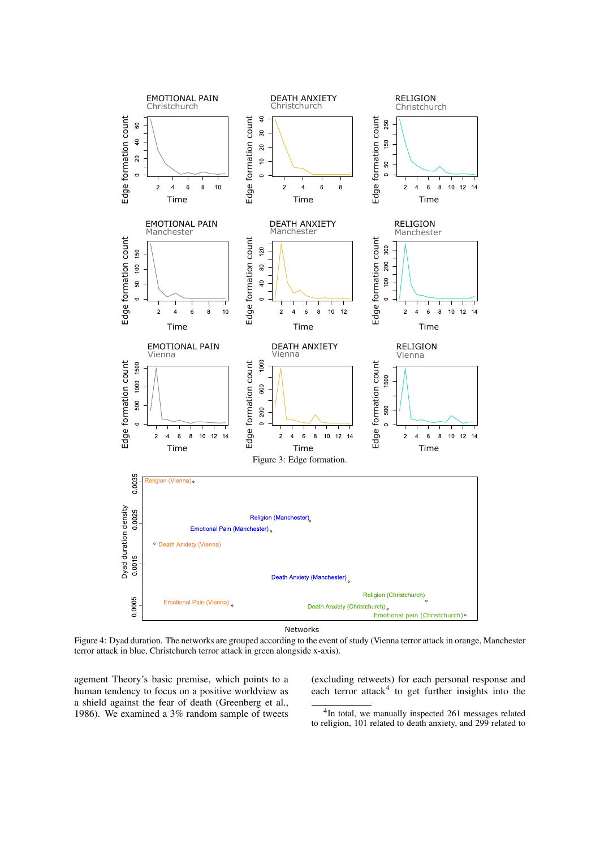

Networks

Figure 4: Dyad duration. The networks are grouped according to the event of study (Vienna terror attack in orange, Manchester terror attack in blue, Christchurch terror attack in green alongside x-axis).

agement Theory's basic premise, which points to a human tendency to focus on a positive worldview as a shield against the fear of death (Greenberg et al., 1986). We examined a 3% random sample of tweets

(excluding retweets) for each personal response and each terror attack<sup>4</sup> to get further insights into the

4 In total, we manually inspected 261 messages related to religion, 101 related to death anxiety, and 299 related to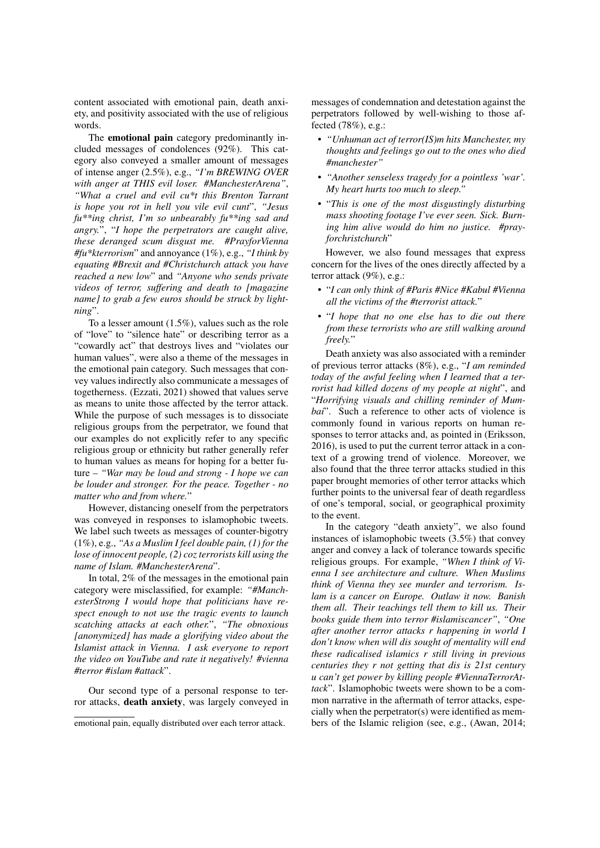content associated with emotional pain, death anxiety, and positivity associated with the use of religious words.

The emotional pain category predominantly included messages of condolences (92%). This category also conveyed a smaller amount of messages of intense anger (2.5%), e.g., *"I'm BREWING OVER with anger at THIS evil loser. #ManchesterArena"*, *"What a cruel and evil cu\*t this Brenton Tarrant is hope you rot in hell you vile evil cunt*", *"Jesus fu\*\*ing christ, I'm so unbearably fu\*\*ing sad and angry.*", "*I hope the perpetrators are caught alive, these deranged scum disgust me. #PrayforVienna #fu\*kterrorism*" and annoyance (1%), e.g., *"I think by equating #Brexit and #Christchurch attack you have reached a new low*" and *"Anyone who sends private videos of terror, suffering and death to [magazine name] to grab a few euros should be struck by lightning*".

To a lesser amount (1.5%), values such as the role of "love" to "silence hate" or describing terror as a "cowardly act" that destroys lives and "violates our human values", were also a theme of the messages in the emotional pain category. Such messages that convey values indirectly also communicate a messages of togetherness. (Ezzati, 2021) showed that values serve as means to unite those affected by the terror attack. While the purpose of such messages is to dissociate religious groups from the perpetrator, we found that our examples do not explicitly refer to any specific religious group or ethnicity but rather generally refer to human values as means for hoping for a better future – *"War may be loud and strong - I hope we can be louder and stronger. For the peace. Together - no matter who and from where.*"

However, distancing oneself from the perpetrators was conveyed in responses to islamophobic tweets. We label such tweets as messages of counter-bigotry (1%), e.g., *"As a Muslim I feel double pain, (1) for the lose of innocent people, (2) coz terrorists kill using the name of Islam. #ManchesterArena*".

In total, 2% of the messages in the emotional pain category were misclassified, for example: *"#ManchesterStrong I would hope that politicians have respect enough to not use the tragic events to launch scatching attacks at each other.*", *"The obnoxious [anonymized] has made a glorifying video about the Islamist attack in Vienna. I ask everyone to report the video on YouTube and rate it negatively! #vienna #terror #islam #attack*".

Our second type of a personal response to terror attacks, death anxiety, was largely conveyed in

messages of condemnation and detestation against the perpetrators followed by well-wishing to those affected (78%), e.g.:

- *"Unhuman act of terror(IS)m hits Manchester, my thoughts and feelings go out to the ones who died #manchester"*
- *"Another senseless tragedy for a pointless 'war'. My heart hurts too much to sleep."*
- "*This is one of the most disgustingly disturbing mass shooting footage I've ever seen. Sick. Burning him alive would do him no justice. #prayforchristchurch*"

However, we also found messages that express concern for the lives of the ones directly affected by a terror attack (9%), e.g.:

- "*I can only think of #Paris #Nice #Kabul #Vienna all the victims of the #terrorist attack.*"
- "*I hope that no one else has to die out there from these terrorists who are still walking around freely.*"

Death anxiety was also associated with a reminder of previous terror attacks (8%), e.g., "*I am reminded today of the awful feeling when I learned that a terrorist had killed dozens of my people at night*", and "*Horrifying visuals and chilling reminder of Mumbai*". Such a reference to other acts of violence is commonly found in various reports on human responses to terror attacks and, as pointed in (Eriksson, 2016), is used to put the current terror attack in a context of a growing trend of violence. Moreover, we also found that the three terror attacks studied in this paper brought memories of other terror attacks which further points to the universal fear of death regardless of one's temporal, social, or geographical proximity to the event.

In the category "death anxiety", we also found instances of islamophobic tweets (3.5%) that convey anger and convey a lack of tolerance towards specific religious groups. For example, *"When I think of Vienna I see architecture and culture. When Muslims think of Vienna they see murder and terrorism. Islam is a cancer on Europe. Outlaw it now. Banish them all. Their teachings tell them to kill us. Their books guide them into terror #islamiscancer"*, *"One after another terror attacks r happening in world I don't know when will dis sought of mentality will end these radicalised islamics r still living in previous centuries they r not getting that dis is 21st century u can't get power by killing people #ViennaTerrorAttack*". Islamophobic tweets were shown to be a common narrative in the aftermath of terror attacks, especially when the perpetrator(s) were identified as members of the Islamic religion (see, e.g., (Awan, 2014;

emotional pain, equally distributed over each terror attack.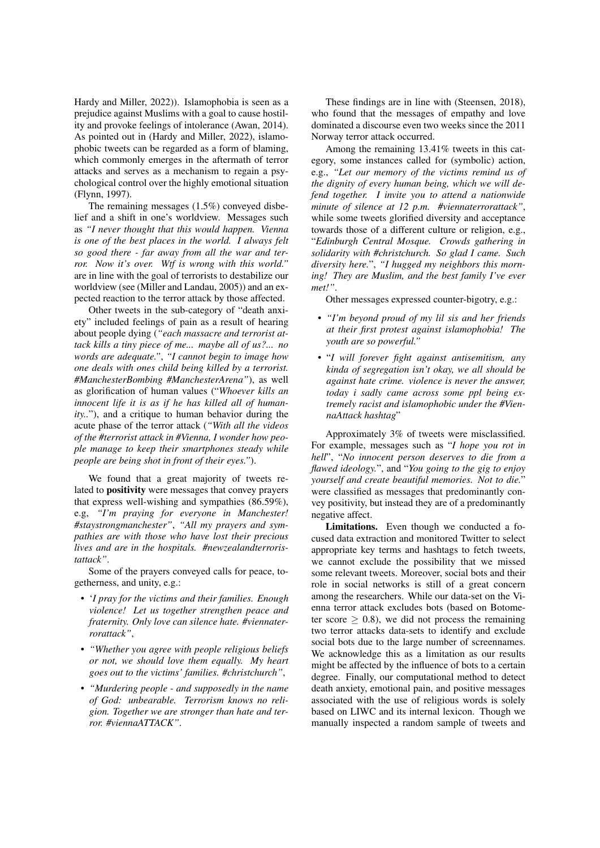Hardy and Miller, 2022)). Islamophobia is seen as a prejudice against Muslims with a goal to cause hostility and provoke feelings of intolerance (Awan, 2014). As pointed out in (Hardy and Miller, 2022), islamophobic tweets can be regarded as a form of blaming, which commonly emerges in the aftermath of terror attacks and serves as a mechanism to regain a psychological control over the highly emotional situation (Flynn, 1997).

The remaining messages (1.5%) conveyed disbelief and a shift in one's worldview. Messages such as *"I never thought that this would happen. Vienna is one of the best places in the world. I always felt so good there - far away from all the war and terror. Now it's over. Wtf is wrong with this world."* are in line with the goal of terrorists to destabilize our worldview (see (Miller and Landau, 2005)) and an expected reaction to the terror attack by those affected.

Other tweets in the sub-category of "death anxiety" included feelings of pain as a result of hearing about people dying (*"each massacre and terrorist attack kills a tiny piece of me... maybe all of us?... no words are adequate."*, *"I cannot begin to image how one deals with ones child being killed by a terrorist. #ManchesterBombing #ManchesterArena"*), as well as glorification of human values ("*Whoever kills an innocent life it is as if he has killed all of humanity..*"), and a critique to human behavior during the acute phase of the terror attack (*"With all the videos of the #terrorist attack in #Vienna, I wonder how people manage to keep their smartphones steady while people are being shot in front of their eyes."*).

We found that a great majority of tweets related to positivity were messages that convey prayers that express well-wishing and sympathies (86.59%), e.g, *"I'm praying for everyone in Manchester! #staystrongmanchester"*, *"All my prayers and sympathies are with those who have lost their precious lives and are in the hospitals. #newzealandterroristattack"*.

Some of the prayers conveyed calls for peace, togetherness, and unity, e.g.:

- '*I pray for the victims and their families. Enough violence! Let us together strengthen peace and fraternity. Only love can silence hate. #viennaterrorattack"*,
- *"Whether you agree with people religious beliefs or not, we should love them equally. My heart goes out to the victims' families. #christchurch"*,
- *"Murdering people and supposedly in the name of God: unbearable. Terrorism knows no religion. Together we are stronger than hate and terror. #viennaATTACK"*.

These findings are in line with (Steensen, 2018), who found that the messages of empathy and love dominated a discourse even two weeks since the 2011 Norway terror attack occurred.

Among the remaining 13.41% tweets in this category, some instances called for (symbolic) action, e.g., *"Let our memory of the victims remind us of the dignity of every human being, which we will defend together. I invite you to attend a nationwide minute of silence at 12 p.m. #viennaterrorattack"*, while some tweets glorified diversity and acceptance towards those of a different culture or religion, e.g., "*Edinburgh Central Mosque. Crowds gathering in solidarity with #christchurch. So glad I came. Such diversity here.*", *"I hugged my neighbors this morning! They are Muslim, and the best family I've ever met!"*.

Other messages expressed counter-bigotry, e.g.:

- *"I'm beyond proud of my lil sis and her friends at their first protest against islamophobia! The youth are so powerful."*
- "*I will forever fight against antisemitism, any kinda of segregation isn't okay, we all should be against hate crime. violence is never the answer, today i sadly came across some ppl being extremely racist and islamophobic under the #ViennaAttack hashtag*"

Approximately 3% of tweets were misclassified. For example, messages such as "*I hope you rot in hell*", "*No innocent person deserves to die from a flawed ideology.*", and "*You going to the gig to enjoy yourself and create beautiful memories. Not to die.*" were classified as messages that predominantly convey positivity, but instead they are of a predominantly negative affect.

Limitations. Even though we conducted a focused data extraction and monitored Twitter to select appropriate key terms and hashtags to fetch tweets, we cannot exclude the possibility that we missed some relevant tweets. Moreover, social bots and their role in social networks is still of a great concern among the researchers. While our data-set on the Vienna terror attack excludes bots (based on Botometer score  $\geq$  0.8), we did not process the remaining two terror attacks data-sets to identify and exclude social bots due to the large number of screennames. We acknowledge this as a limitation as our results might be affected by the influence of bots to a certain degree. Finally, our computational method to detect death anxiety, emotional pain, and positive messages associated with the use of religious words is solely based on LIWC and its internal lexicon. Though we manually inspected a random sample of tweets and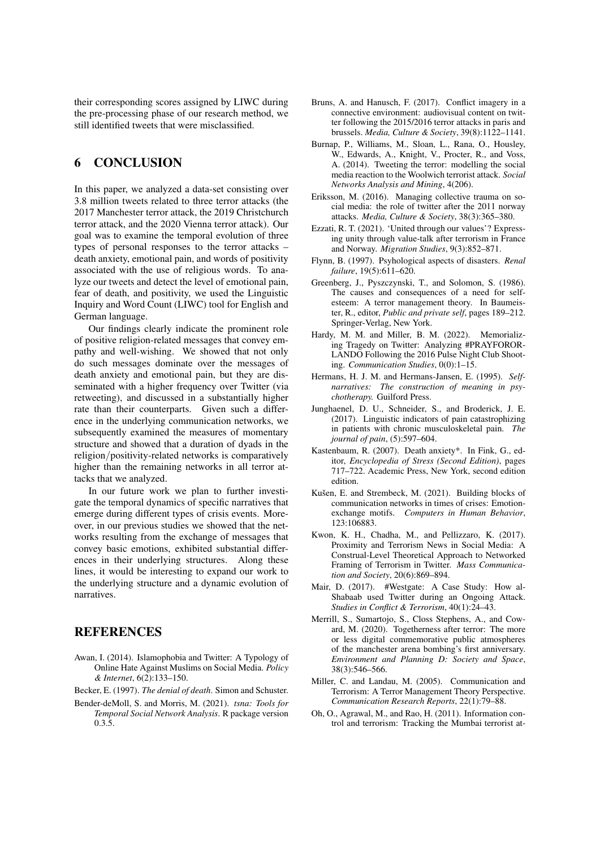their corresponding scores assigned by LIWC during the pre-processing phase of our research method, we still identified tweets that were misclassified.

### 6 CONCLUSION

In this paper, we analyzed a data-set consisting over 3.8 million tweets related to three terror attacks (the 2017 Manchester terror attack, the 2019 Christchurch terror attack, and the 2020 Vienna terror attack). Our goal was to examine the temporal evolution of three types of personal responses to the terror attacks – death anxiety, emotional pain, and words of positivity associated with the use of religious words. To analyze our tweets and detect the level of emotional pain, fear of death, and positivity, we used the Linguistic Inquiry and Word Count (LIWC) tool for English and German language.

Our findings clearly indicate the prominent role of positive religion-related messages that convey empathy and well-wishing. We showed that not only do such messages dominate over the messages of death anxiety and emotional pain, but they are disseminated with a higher frequency over Twitter (via retweeting), and discussed in a substantially higher rate than their counterparts. Given such a difference in the underlying communication networks, we subsequently examined the measures of momentary structure and showed that a duration of dyads in the religion/positivity-related networks is comparatively higher than the remaining networks in all terror attacks that we analyzed.

In our future work we plan to further investigate the temporal dynamics of specific narratives that emerge during different types of crisis events. Moreover, in our previous studies we showed that the networks resulting from the exchange of messages that convey basic emotions, exhibited substantial differences in their underlying structures. Along these lines, it would be interesting to expand our work to the underlying structure and a dynamic evolution of narratives.

#### REFERENCES

- Awan, I. (2014). Islamophobia and Twitter: A Typology of Online Hate Against Muslims on Social Media. *Policy & Internet*, 6(2):133–150.
- Becker, E. (1997). *The denial of death*. Simon and Schuster.
- Bender-deMoll, S. and Morris, M. (2021). *tsna: Tools for Temporal Social Network Analysis*. R package version 0.3.5.
- Bruns, A. and Hanusch, F. (2017). Conflict imagery in a connective environment: audiovisual content on twitter following the 2015/2016 terror attacks in paris and brussels. *Media, Culture & Society*, 39(8):1122–1141.
- Burnap, P., Williams, M., Sloan, L., Rana, O., Housley, W., Edwards, A., Knight, V., Procter, R., and Voss, A. (2014). Tweeting the terror: modelling the social media reaction to the Woolwich terrorist attack. *Social Networks Analysis and Mining*, 4(206).
- Eriksson, M. (2016). Managing collective trauma on social media: the role of twitter after the 2011 norway attacks. *Media, Culture & Society*, 38(3):365–380.
- Ezzati, R. T. (2021). 'United through our values'? Expressing unity through value-talk after terrorism in France and Norway. *Migration Studies*, 9(3):852–871.
- Flynn, B. (1997). Psyhological aspects of disasters. *Renal failure*, 19(5):611–620.
- Greenberg, J., Pyszczynski, T., and Solomon, S. (1986). The causes and consequences of a need for selfesteem: A terror management theory. In Baumeister, R., editor, *Public and private self*, pages 189–212. Springer-Verlag, New York.
- Hardy, M. M. and Miller, B. M. (2022). Memorializing Tragedy on Twitter: Analyzing #PRAYFOROR-LANDO Following the 2016 Pulse Night Club Shooting. *Communication Studies*, 0(0):1–15.
- Hermans, H. J. M. and Hermans-Jansen, E. (1995). *Selfnarratives: The construction of meaning in psychotherapy.* Guilford Press.
- Junghaenel, D. U., Schneider, S., and Broderick, J. E. (2017). Linguistic indicators of pain catastrophizing in patients with chronic musculoskeletal pain. *The journal of pain*, (5):597–604.
- Kastenbaum, R. (2007). Death anxiety\*. In Fink, G., editor, *Encyclopedia of Stress (Second Edition)*, pages 717–722. Academic Press, New York, second edition edition.
- Kušen, E. and Strembeck, M. (2021). Building blocks of communication networks in times of crises: Emotionexchange motifs. *Computers in Human Behavior*, 123:106883.
- Kwon, K. H., Chadha, M., and Pellizzaro, K. (2017). Proximity and Terrorism News in Social Media: A Construal-Level Theoretical Approach to Networked Framing of Terrorism in Twitter. *Mass Communication and Society*, 20(6):869–894.
- Mair, D. (2017). #Westgate: A Case Study: How al-Shabaab used Twitter during an Ongoing Attack. *Studies in Conflict & Terrorism*, 40(1):24–43.
- Merrill, S., Sumartojo, S., Closs Stephens, A., and Coward, M. (2020). Togetherness after terror: The more or less digital commemorative public atmospheres of the manchester arena bombing's first anniversary. *Environment and Planning D: Society and Space*, 38(3):546–566.
- Miller, C. and Landau, M. (2005). Communication and Terrorism: A Terror Management Theory Perspective. *Communication Research Reports*, 22(1):79–88.
- Oh, O., Agrawal, M., and Rao, H. (2011). Information control and terrorism: Tracking the Mumbai terrorist at-